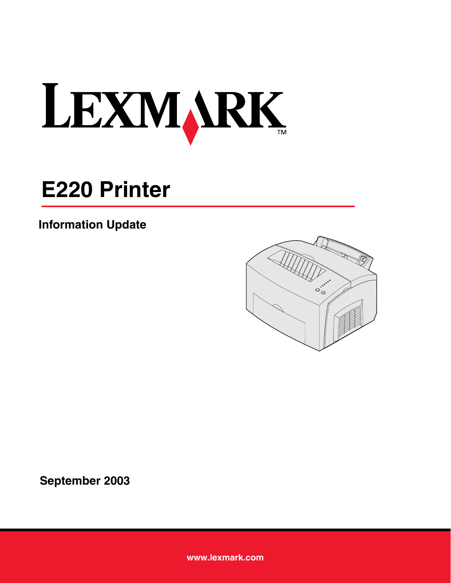

## **E220 Printer**

## **Information Update**



**September 2003**

**[www.lexmark.com](http://www.lexmark.com)**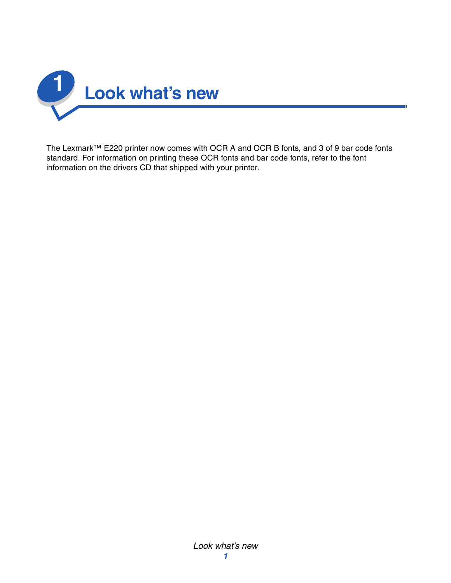

The Lexmark™ E220 printer now comes with OCR A and OCR B fonts, and 3 of 9 bar code fonts standard. For information on printing these OCR fonts and bar code fonts, refer to the font information on the drivers CD that shipped with your printer.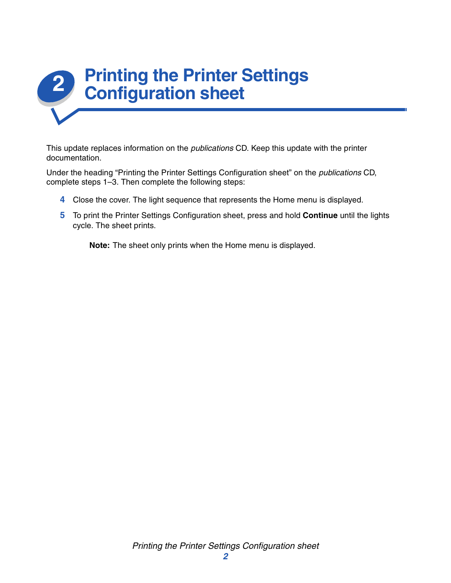

This update replaces information on the *publications* CD. Keep this update with the printer documentation.

Under the heading "Printing the Printer Settings Configuration sheet" on the *publications* CD, complete steps 1–3. Then complete the following steps:

- **4** Close the cover. The light sequence that represents the Home menu is displayed.
- **5** To print the Printer Settings Configuration sheet, press and hold **Continue** until the lights cycle. The sheet prints.

**Note:** The sheet only prints when the Home menu is displayed.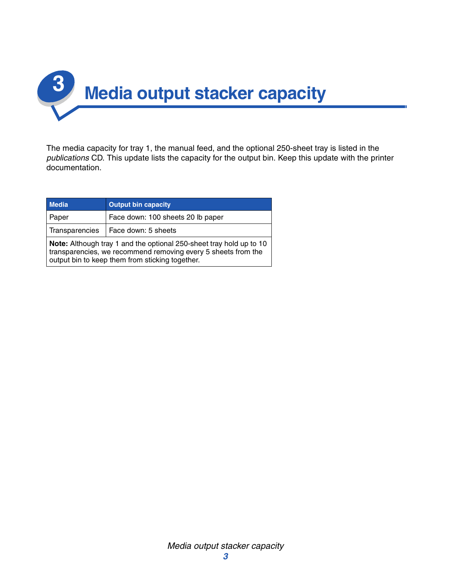

The media capacity for tray 1, the manual feed, and the optional 250-sheet tray is listed in the *publications* CD. This update lists the capacity for the output bin. Keep this update with the printer documentation.

| <b>Media</b>                                                                                                                                                                            | <b>Output bin capacity</b>        |
|-----------------------------------------------------------------------------------------------------------------------------------------------------------------------------------------|-----------------------------------|
| Paper                                                                                                                                                                                   | Face down: 100 sheets 20 lb paper |
| Transparencies                                                                                                                                                                          | Face down: 5 sheets               |
| Note: Although tray 1 and the optional 250-sheet tray hold up to 10<br>transparencies, we recommend removing every 5 sheets from the<br>output bin to keep them from sticking together. |                                   |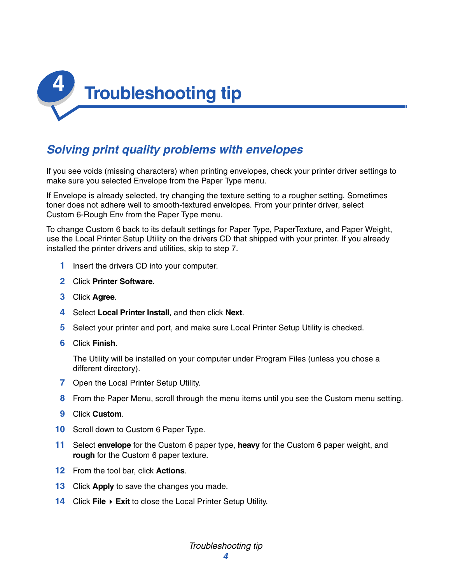

## *Solving print quality problems with envelopes*

If you see voids (missing characters) when printing envelopes, check your printer driver settings to make sure you selected Envelope from the Paper Type menu.

If Envelope is already selected, try changing the texture setting to a rougher setting. Sometimes toner does not adhere well to smooth-textured envelopes. From your printer driver, select Custom 6-Rough Env from the Paper Type menu.

To change Custom 6 back to its default settings for Paper Type, PaperTexture, and Paper Weight, use the Local Printer Setup Utility on the drivers CD that shipped with your printer. If you already installed the printer drivers and utilities, skip to step 7.

- **1** Insert the drivers CD into your computer.
- **2** Click **Printer Software**.
- **3** Click **Agree**.
- **4** Select **Local Printer Install**, and then click **Next**.
- **5** Select your printer and port, and make sure Local Printer Setup Utility is checked.
- **6** Click **Finish**.

The Utility will be installed on your computer under Program Files (unless you chose a different directory).

- **7** Open the Local Printer Setup Utility.
- **8** From the Paper Menu, scroll through the menu items until you see the Custom menu setting.
- **9** Click **Custom**.
- **10** Scroll down to Custom 6 Paper Type.
- **11** Select **envelope** for the Custom 6 paper type, **heavy** for the Custom 6 paper weight, and **rough** for the Custom 6 paper texture.
- **12** From the tool bar, click **Actions**.
- **13** Click **Apply** to save the changes you made.
- **14** Click **File Exit** to close the Local Printer Setup Utility.